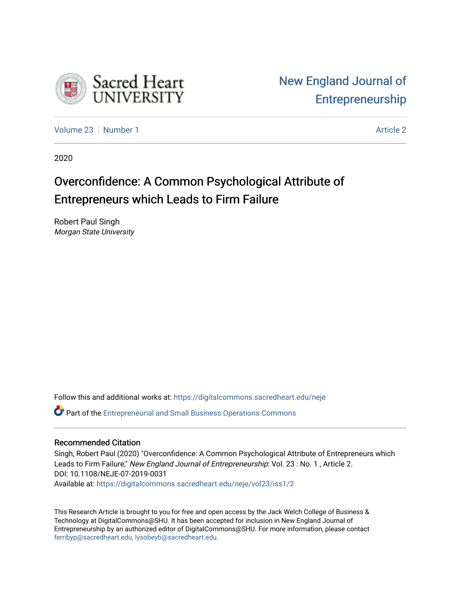

[Volume 23](https://digitalcommons.sacredheart.edu/neje/vol23) [Number 1](https://digitalcommons.sacredheart.edu/neje/vol23/iss1) [Article 2](https://digitalcommons.sacredheart.edu/neje/vol23/iss1/2) Article 2 Article 2 Article 2 Article 2 Article 2 Article 2

2020

## Overconfidence: A Common Psychological Attribute of Entrepreneurs which Leads to Firm Failure

Robert Paul Singh Morgan State University

Follow this and additional works at: [https://digitalcommons.sacredheart.edu/neje](https://digitalcommons.sacredheart.edu/neje?utm_source=digitalcommons.sacredheart.edu%2Fneje%2Fvol23%2Fiss1%2F2&utm_medium=PDF&utm_campaign=PDFCoverPages) 

Part of the [Entrepreneurial and Small Business Operations Commons](http://network.bepress.com/hgg/discipline/630?utm_source=digitalcommons.sacredheart.edu%2Fneje%2Fvol23%2Fiss1%2F2&utm_medium=PDF&utm_campaign=PDFCoverPages) 

### Recommended Citation

Singh, Robert Paul (2020) "Overconfidence: A Common Psychological Attribute of Entrepreneurs which Leads to Firm Failure," New England Journal of Entrepreneurship: Vol. 23 : No. 1, Article 2. DOI: 10.1108/NEJE-07-2019-0031 Available at: [https://digitalcommons.sacredheart.edu/neje/vol23/iss1/2](https://digitalcommons.sacredheart.edu/neje/vol23/iss1/2?utm_source=digitalcommons.sacredheart.edu%2Fneje%2Fvol23%2Fiss1%2F2&utm_medium=PDF&utm_campaign=PDFCoverPages) 

This Research Article is brought to you for free and open access by the Jack Welch College of Business & Technology at DigitalCommons@SHU. It has been accepted for inclusion in New England Journal of Entrepreneurship by an authorized editor of DigitalCommons@SHU. For more information, please contact [ferribyp@sacredheart.edu, lysobeyb@sacredheart.edu.](mailto:ferribyp@sacredheart.edu,%20lysobeyb@sacredheart.edu)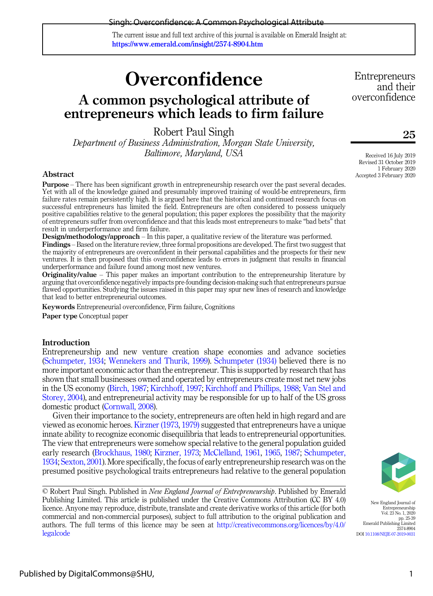#### Singh: Overconfidence: A Common Psychological Attribute

The current issue and full text archive of this journal is available on Emerald Insight at: https://www.emerald.com/insight/2574-8904.htm

# **Overconfidence**

### A common psychological attribute of entrepreneurs which leads to firm failure

Robert Paul Singh

Department of Business Administration, Morgan State University, Baltimore, Maryland, USA

#### Abstract

Purpose – There has been significant growth in entrepreneurship research over the past several decades. Yet with all of the knowledge gained and presumably improved training of would-be entrepreneurs, firm failure rates remain persistently high. It is argued here that the historical and continued research focus on successful entrepreneurs has limited the field. Entrepreneurs are often considered to possess uniquely positive capabilities relative to the general population; this paper explores the possibility that the majority of entrepreneurs suffer from overconfidence and that this leads most entrepreneurs to make "bad bets" that result in underperformance and firm failure.

Design/methodology/approach – In this paper, a qualitative review of the literature was performed. Findings – Based on the literature review, three formal propositions are developed. The first two suggest that the majority of entrepreneurs are overconfident in their personal capabilities and the prospects for their new ventures. It is then proposed that this overconfidence leads to errors in judgment that results in financial underperformance and failure found among most new ventures.

Originality/value – This paper makes an important contribution to the entrepreneurship literature by arguing that overconfidence negatively impacts pre-founding decision-making such that entrepreneurs pursue flawed opportunities. Studying the issues raised in this paper may spur new lines of research and knowledge that lead to better entrepreneurial outcomes.

Keywords Entrepreneurial overconfidence, Firm failure, Cognitions Paper type Conceptual paper

#### **Introduction**

Entrepreneurship and new venture creation shape economies and advance societies ([Schumpeter, 1934;](#page-13-0) [Wennekers and Thurik, 1999\)](#page-15-0). [Schumpeter \(1934\)](#page-13-0) believed there is no more important economic actor than the entrepreneur. This is supported by research that has shown that small businesses owned and operated by entrepreneurs create most net new jobs in the US economy ([Birch, 1987](#page-10-0); [Kirchhoff, 1997](#page-12-0); [Kirchhoff and Phillips, 1988;](#page-12-1) [Van Stel and](#page-15-1) [Storey, 2004\)](#page-15-1), and entrepreneurial activity may be responsible for up to half of the US gross domestic product ([Cornwall, 2008](#page-11-0)).

Given their importance to the society, entrepreneurs are often held in high regard and are viewed as economic heroes. [Kirzner \(1973](#page-12-2), [1979\)](#page-12-3) suggested that entrepreneurs have a unique innate ability to recognize economic disequilibria that leads to entrepreneurial opportunities. The view that entrepreneurs were somehow special relative to the general population guided early research ([Brockhaus, 1980](#page-10-1); [Kirzner, 1973;](#page-12-2) [McClelland, 1961,](#page-13-1) [1965](#page-13-2), [1987](#page-13-3); [Schumpeter,](#page-13-0) [1934;](#page-13-0) [Sexton, 2001\)](#page-13-4). More specifically, the focus of early entrepreneurship research was on the presumed positive psychological traits entrepreneurs had relative to the general population

**Entrepreneurs** and their overconfidence

25

Received 16 July 2019 Revised 31 October 2019 1 February 2020 Accepted 3 February 2020



<sup>©</sup> Robert Paul Singh. Published in New England Journal of Entrepreneurship. Published by Emerald Publishing Limited. This article is published under the Creative Commons Attribution (CC BY 4.0) licence. Anyone may reproduce, distribute, translate and create derivative works of this article (for both commercial and non-commercial purposes), subject to full attribution to the original publication and authors. The full terms of this licence may be seen at [http://creativecommons.org/licences/by/4.0/](http://creativecommons.org/licences/by/4.0/legalcode) [legalcode](http://creativecommons.org/licences/by/4.0/legalcode)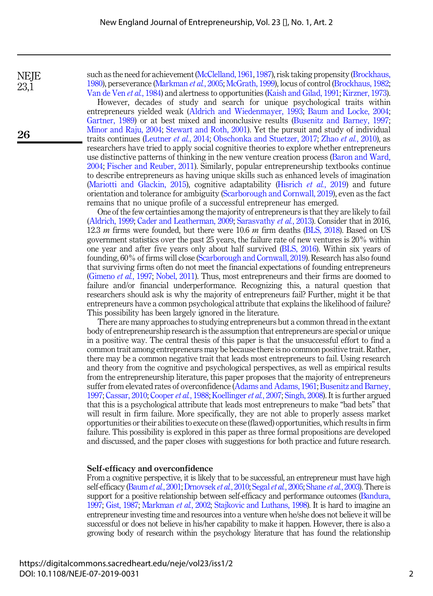**NEIE** 23,1

26

such as the need for achievement ([McClelland, 1961](#page-13-1), [1987\)](#page-13-3), risk taking propensity [\(Brockhaus,](#page-10-1) [1980\)](#page-10-1), perseverance [\(Markman](#page-12-4) et al., 2005; [McGrath, 1999](#page-13-5)), locus of control ([Brockhaus, 1982](#page-10-2); [Van de Ven](#page-14-0) et al., 1984) and alertness to opportunities ([Kaish and Gilad, 1991;](#page-12-5) [Kirzner, 1973\)](#page-12-2).

However, decades of study and search for unique psychological traits within entrepreneurs yielded weak ([Aldrich and Wiedenmayer, 1993](#page-9-0); [Baum and Locke, 2004](#page-10-3); [Gartner, 1989](#page-11-1)) or at best mixed and inconclusive results ([Busenitz and Barney, 1997](#page-10-4); [Minor and Raju, 2004](#page-13-6); [Stewart and Roth, 2001\)](#page-14-1). Yet the pursuit and study of individual traits continues ([Leutner](#page-12-6) et al., 2014; [Obschonka and Stuetzer, 2017;](#page-13-7) Zhao et al.[, 2010](#page-15-2)), as researchers have tried to apply social cognitive theories to explore whether entrepreneurs use distinctive patterns of thinking in the new venture creation process [\(Baron and Ward,](#page-10-5) [2004](#page-10-5); [Fischer and Reuber, 2011](#page-11-2)). Similarly, popular entrepreneurship textbooks continue to describe entrepreneurs as having unique skills such as enhanced levels of imagination ([Mariotti and Glackin, 2015](#page-12-7)), cognitive adaptability ([Hisrich](#page-12-8) *et al.*, 2019) and future orientation and tolerance for ambiguity [\(Scarborough and Cornwall, 2019\)](#page-13-8), even as the fact remains that no unique profile of a successful entrepreneur has emerged.

One of the few certainties among the majority of entrepreneurs is that they are likely to fail ([Aldrich, 1999](#page-9-1); [Cader and Leatherman, 2009;](#page-10-6) [Sarasvathy](#page-13-9) et al., 2013). Consider that in 2016, 12.3  $m$  firms were founded, but there were 10.6  $m$  firm deaths [\(BLS, 2018](#page-10-7)). Based on US government statistics over the past 25 years, the failure rate of new ventures is 20% within one year and after five years only about half survived [\(BLS, 2016\)](#page-10-8). Within six years of founding, 60% of firms will close [\(Scarborough and Cornwall, 2019](#page-13-8)). Research has also found that surviving firms often do not meet the financial expectations of founding entrepreneurs ([Gimeno](#page-11-3) et al., 1997; [Nobel, 2011](#page-13-10)). Thus, most entrepreneurs and their firms are doomed to failure and/or financial underperformance. Recognizing this, a natural question that researchers should ask is why the majority of entrepreneurs fail? Further, might it be that entrepreneurs have a common psychological attribute that explains the likelihood of failure? This possibility has been largely ignored in the literature.

There are many approaches to studying entrepreneurs but a common thread in the extant body of entrepreneurship research is the assumption that entrepreneurs are special or unique in a positive way. The central thesis of this paper is that the unsuccessful effort to find a common trait among entrepreneurs may be because there is no common positive trait. Rather, there may be a common negative trait that leads most entrepreneurs to fail. Using research and theory from the cognitive and psychological perspectives, as well as empirical results from the entrepreneurship literature, this paper proposes that the majority of entrepreneurs suffer from elevated rates of overconfidence [\(Adams and Adams, 1961](#page-9-2); [Busenitz and Barney,](#page-10-4) [1997;](#page-10-4) [Cassar, 2010;](#page-10-9) [Cooper](#page-11-4) et al., 1988; [Koellinger](#page-12-9) et al., 2007; [Singh, 2008](#page-14-2)). It is further argued that this is a psychological attribute that leads most entrepreneurs to make "bad bets" that will result in firm failure. More specifically, they are not able to properly assess market opportunities or their abilities to execute on these (flawed) opportunities, which results in firm failure. This possibility is explored in this paper as three formal propositions are developed and discussed, and the paper closes with suggestions for both practice and future research.

#### Self-efficacy and overconfidence

From a cognitive perspective, it is likely that to be successful, an entrepreneur must have high self-efficacy [\(Baum](#page-10-10) et al., 2001; [Drnovsek](#page-11-5) et al., 2010; Segal et al.[, 2005](#page-13-11); [Shane](#page-13-12) et al., 2003). There is support for a positive relationship between self-efficacy and performance outcomes [\(Bandura,](#page-10-11) [1997](#page-10-11); [Gist, 1987;](#page-11-6) [Markman](#page-12-10) et al., 2002; [Stajkovic and Luthans, 1998](#page-14-3)). It is hard to imagine an entrepreneur investing time and resources into a venture when he/she does not believe it will be successful or does not believe in his/her capability to make it happen. However, there is also a growing body of research within the psychology literature that has found the relationship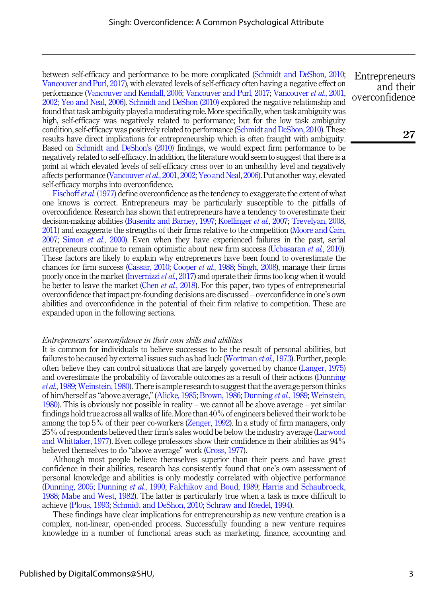between self-efficacy and performance to be more complicated [\(Schmidt and DeShon, 2010](#page-13-13); [Vancouver and Purl, 2017](#page-14-4)), with elevated levels of self-efficacy often having a negative effect on performance [\(Vancouver and Kendall, 2006](#page-14-5); [Vancouver and Purl, 2017](#page-14-4); [Vancouver](#page-14-6) et al., 2001, [2002](#page-14-7); [Yeo and Neal, 2006\)](#page-15-3). [Schmidt and DeShon \(2010\)](#page-13-13) explored the negative relationship and found that task ambiguity played a moderating role. More specifically, when task ambiguity was high, self-efficacy was negatively related to performance; but for the low task ambiguity condition, self-efficacy was positively related to performance [\(Schmidt and DeShon, 2010\)](#page-13-13). These results have direct implications for entrepreneurship which is often fraught with ambiguity. Based on [Schmidt and DeShon](#page-13-13)'s (2010) findings, we would expect firm performance to be negatively related to self-efficacy. In addition, the literature would seem to suggest that there is a point at which elevated levels of self-efficacy cross over to an unhealthy level and negatively affects performance [\(Vancouver](#page-14-6) et al., 2001, [2002;](#page-14-7) [Yeo and Neal, 2006\)](#page-15-3). Put another way, elevated self-efficacy morphs into overconfidence.

[Fischoff](#page-11-7) *et al.* (1977) define overconfidence as the tendency to exaggerate the extent of what one knows is correct. Entrepreneurs may be particularly susceptible to the pitfalls of overconfidence. Research has shown that entrepreneurs have a tendency to overestimate their decision-making abilities ([Busenitz and Barney, 1997;](#page-10-4) [Koellinger](#page-12-9) et al., 2007; [Trevelyan, 2008](#page-14-8), [2011\)](#page-14-9) and exaggerate the strengths of their firms relative to the competition [\(Moore and Cain,](#page-13-14) [2007;](#page-13-14) Simon et al.[, 2000\)](#page-14-10). Even when they have experienced failures in the past, serial entrepreneurs continue to remain optimistic about new firm success [\(Ucbasaran](#page-14-11) et al., 2010). These factors are likely to explain why entrepreneurs have been found to overestimate the chances for firm success [\(Cassar, 2010](#page-10-9); [Cooper](#page-11-4) *et al.*, 1988; [Singh, 2008\)](#page-14-2), manage their firms poorly once in the market [\(Invernizzi](#page-12-11) et al., 2017) and operate their firms too long when it would be better to leave the market (Chen *et al.*[, 2018\)](#page-10-12). For this paper, two types of entrepreneurial overconfidence that impact pre-founding decisions are discussed – overconfidence in one's own abilities and overconfidence in the potential of their firm relative to competition. These are expanded upon in the following sections.

#### Entrepreneurs' overconfidence in their own skills and abilities

It is common for individuals to believe successes to be the result of personal abilities, but failures to be caused by external issues such as bad luck [\(Wortman](#page-15-4) et al., 1973). Further, people often believe they can control situations that are largely governed by chance ([Langer, 1975\)](#page-12-12) and overestimate the probability of favorable outcomes as a result of their actions [\(Dunning](#page-11-8) et al.[, 1989](#page-11-8); [Weinstein, 1980\)](#page-15-5). There is ample research to suggest that the average person thinks of him/herself as "above average," ([Alicke, 1985;](#page-9-3) [Brown, 1986](#page-10-13); [Dunning](#page-11-8) et al., 1989; [Weinstein,](#page-15-5) [1980\)](#page-15-5). This is obviously not possible in reality – we cannot all be above average – yet similar findings hold true across all walks of life. More than 40% of engineers believed their work to be among the top 5% of their peer co-workers ([Zenger, 1992\)](#page-15-6). In a study of firm managers, only 25% of respondents believed their firm's sales would be below the industry average [\(Larwood](#page-12-13) [and Whittaker, 1977\)](#page-12-13). Even college professors show their confidence in their abilities as 94% believed themselves to do "above average" work ([Cross, 1977\)](#page-11-9).

Although most people believe themselves superior than their peers and have great confidence in their abilities, research has consistently found that one's own assessment of personal knowledge and abilities is only modestly correlated with objective performance ([Dunning, 2005;](#page-11-10) [Dunning](#page-11-11) et al., 1990; [Falchikov and Boud, 1989](#page-11-12); [Harris and Schaubroeck,](#page-11-13) [1988;](#page-11-13) [Mabe and West, 1982](#page-12-14)). The latter is particularly true when a task is more difficult to achieve [\(Plous, 1993;](#page-13-15) [Schmidt and DeShon, 2010](#page-13-13); [Schraw and Roedel, 1994\)](#page-13-16).

These findings have clear implications for entrepreneurship as new venture creation is a complex, non-linear, open-ended process. Successfully founding a new venture requires knowledge in a number of functional areas such as marketing, finance, accounting and

**Entrepreneurs** and their overconfidence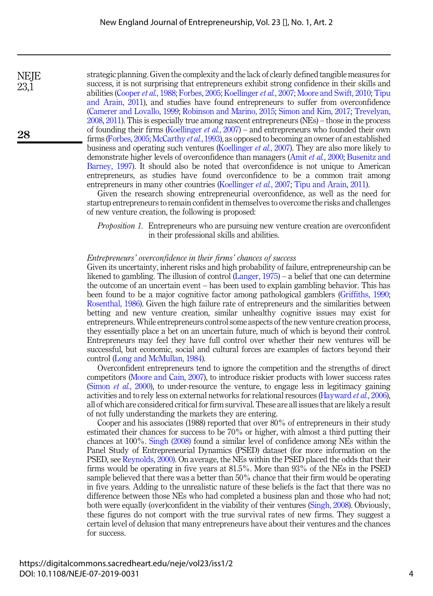strategic planning. Given the complexity and the lack of clearly defined tangible measures for success, it is not surprising that entrepreneurs exhibit strong confidence in their skills and abilities [\(Cooper](#page-11-4) et al., 1988; [Forbes, 2005;](#page-11-14) [Koellinger](#page-12-9) et al., 2007; [Moore and Swift, 2010;](#page-13-17) [Tipu](#page-14-12) [and Arain, 2011\)](#page-14-12), and studies have found entrepreneurs to suffer from overconfidence ([Camerer and Lovallo, 1999;](#page-10-14) [Robinson and Marino, 2015](#page-13-18); [Simon and Kim, 2017](#page-14-13); [Trevelyan,](#page-14-8) [2008,](#page-14-8) [2011](#page-14-9)). This is especially true among nascent entrepreneurs (NEs) – those in the process of founding their firms [\(Koellinger](#page-12-9) *et al.*, 2007) – and entrepreneurs who founded their own firms [\(Forbes, 2005](#page-11-14); [McCarthy](#page-12-15) et al., 1993), as opposed to becoming an owner of an established business and operating such ventures [\(Koellinger](#page-12-9) et al., 2007). They are also more likely to demonstrate higher levels of overconfidence than managers (Amit et al.[, 2000](#page-10-15); [Busenitz and](#page-10-4) [Barney, 1997\)](#page-10-4). It should also be noted that overconfidence is not unique to American entrepreneurs, as studies have found overconfidence to be a common trait among entrepreneurs in many other countries [\(Koellinger](#page-12-9) *et al.*, 2007; [Tipu and Arain, 2011](#page-14-12)).

Given the research showing entrepreneurial overconfidence, as well as the need for startup entrepreneurs to remain confident in themselves to overcome the risks and challenges of new venture creation, the following is proposed:

Proposition 1. Entrepreneurs who are pursuing new venture creation are overconfident in their professional skills and abilities.

#### Entrepreneurs' overconfidence in their firms' chances of success

Given its uncertainty, inherent risks and high probability of failure, entrepreneurship can be likened to gambling. The illusion of control ([Langer, 1975\)](#page-12-12) – a belief that one can determine the outcome of an uncertain event – has been used to explain gambling behavior. This has been found to be a major cognitive factor among pathological gamblers ([Griffiths, 1990](#page-11-15); [Rosenthal, 1986](#page-13-19)). Given the high failure rate of entrepreneurs and the similarities between betting and new venture creation, similar unhealthy cognitive issues may exist for entrepreneurs. While entrepreneurs control some aspects of the new venture creation process, they essentially place a bet on an uncertain future, much of which is beyond their control. Entrepreneurs may feel they have full control over whether their new ventures will be successful, but economic, social and cultural forces are examples of factors beyond their control ([Long and McMullan, 1984](#page-12-16)).

Overconfident entrepreneurs tend to ignore the competition and the strengths of direct competitors (Moore [and Cain, 2007](#page-13-14)), to introduce riskier products with lower success rates ([Simon](#page-14-10) *et al.*, 2000), to under-resource the venture, to engage less in legitimacy gaining activities and to rely less on external networks for relational resources [\(Hayward](#page-11-16) et al., 2006), all of which are considered critical for firm survival. These are all issues that are likely a result of not fully understanding the markets they are entering.

Cooper and his associates (1988) reported that over 80% of entrepreneurs in their study estimated their chances for success to be 70% or higher, with almost a third putting their chances at 100%. [Singh \(2008\)](#page-14-2) found a similar level of confidence among NEs within the Panel Study of Entrepreneurial Dynamics (PSED) dataset (for more information on the PSED, see [Reynolds, 2000](#page-13-20)). On average, the NEs within the PSED placed the odds that their firms would be operating in five years at 81.5%. More than 93% of the NEs in the PSED sample believed that there was a better than 50% chance that their firm would be operating in five years. Adding to the unrealistic nature of these beliefs is the fact that there was no difference between those NEs who had completed a business plan and those who had not; both were equally (over)confident in the viability of their ventures ([Singh, 2008\)](#page-14-2). Obviously, these figures do not comport with the true survival rates of new firms. They suggest a certain level of delusion that many entrepreneurs have about their ventures and the chances for success.

**NEIE** 23,1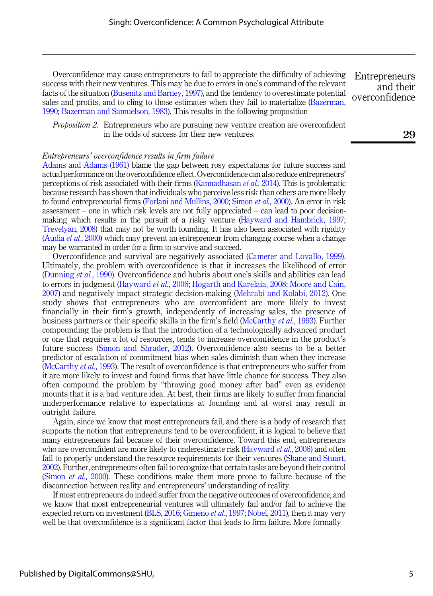Overconfidence may cause entrepreneurs to fail to appreciate the difficulty of achieving success with their new ventures. This may be due to errors in one's command of the relevant facts of the situation ([Busenitz and Barney, 1997\)](#page-10-4), and the tendency to overestimate potential sales and profits, and to cling to those estimates when they fail to materialize ([Bazerman,](#page-10-16) [1990;](#page-10-16) [Bazerman and Samuelson, 1983](#page-10-17)). This results in the following proposition

*Proposition 2.* Entrepreneurs who are pursuing new venture creation are overconfident in the odds of success for their new ventures.

#### Entrepreneurs' overconfidence results in firm failure

[Adams and Adams \(1961\)](#page-9-2) blame the gap between rosy expectations for future success and actual performance on the overconfidence effect. Overconfidence can also reduce entrepreneurs' perceptions of risk associated with their firms [\(Kannadhasan](#page-12-17) et al., 2014). This is problematic because research has shown that individuals who perceive less risk than others are more likely to found entrepreneurial firms [\(Forlani and Mullins, 2000](#page-11-17); [Simon](#page-14-10) et al., 2000). An error in risk assessment – one in which risk levels are not fully appreciated – can lead to poor decisionmaking which results in the pursuit of a risky venture [\(Hayward and Hambrick, 1997](#page-11-18); [Trevelyan, 2008\)](#page-14-8) that may not be worth founding. It has also been associated with rigidity [\(Audia](#page-10-18) et al., 2000) which may prevent an entrepreneur from changing course when a change may be warranted in order for a firm to survive and succeed.

Overconfidence and survival are negatively associated [\(Camerer and Lovallo, 1999\)](#page-10-14). Ultimately, the problem with overconfidence is that it increases the likelihood of error ([Dunning](#page-11-11) et al., 1990). Overconfidence and hubris about one's skills and abilities can lead to errors in judgment ([Hayward](#page-11-16) *et al.*, 2006; [Hogarth and Karelaia, 2008](#page-12-18); [Moore and Cain,](#page-13-14) [2007](#page-13-14)) and negatively impact strategic decision-making [\(Mehrabi and Kolabi, 2012](#page-13-21)). One study shows that entrepreneurs who are overconfident are more likely to invest financially in their firm's growth, independently of increasing sales, the presence of business partners or their specific skills in the firm's field [\(McCarthy](#page-12-15) et al., 1993). Further compounding the problem is that the introduction of a technologically advanced product or one that requires a lot of resources, tends to increase overconfidence in the product's future success ([Simon and Shrader, 2012\)](#page-14-14). Overconfidence also seems to be a better predictor of escalation of commitment bias when sales diminish than when they increase ([McCarthy](#page-12-15) et al., 1993). The result of overconfidence is that entrepreneurs who suffer from it are more likely to invest and found firms that have little chance for success. They also often compound the problem by "throwing good money after bad" even as evidence mounts that it is a bad venture idea. At best, their firms are likely to suffer from financial underperformance relative to expectations at founding and at worst may result in outright failure.

Again, since we know that most entrepreneurs fail, and there is a body of research that supports the notion that entrepreneurs tend to be overconfident, it is logical to believe that many entrepreneurs fail because of their overconfidence. Toward this end, entrepreneurs who are overconfident are more likely to underestimate risk ([Hayward](#page-11-16) *et al.*, 2006) and often fail to properly understand the resource requirements for their ventures [\(Shane and Stuart,](#page-14-15) [2002\)](#page-14-15). Further, entrepreneurs often fail to recognize that certain tasks are beyond their control ([Simon](#page-14-10) *et al.*, 2000). These conditions make them more prone to failure because of the disconnection between reality and entrepreneurs' understanding of reality.

If most entrepreneurs do indeed suffer from the negative outcomes of overconfidence, and we know that most entrepreneurial ventures will ultimately fail and/or fail to achieve the expected return on investment [\(BLS, 2016](#page-10-8); [Gimeno](#page-11-3) *et al.*, 1997; [Nobel, 2011\)](#page-13-10), then it may very well be that overconfidence is a significant factor that leads to firm failure. More formally

29

**Entrepreneurs** and their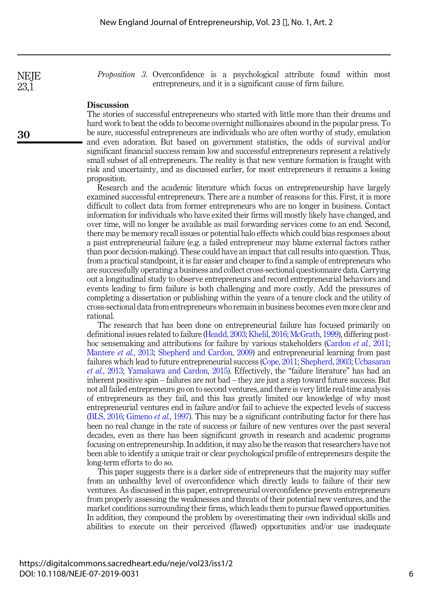Proposition 3. Overconfidence is a psychological attribute found within most entrepreneurs, and it is a significant cause of firm failure.

#### **Discussion**

The stories of successful entrepreneurs who started with little more than their dreams and hard work to beat the odds to become overnight millionaires abound in the popular press. To be sure, successful entrepreneurs are individuals who are often worthy of study, emulation and even adoration. But based on government statistics, the odds of survival and/or significant financial success remain low and successful entrepreneurs represent a relatively small subset of all entrepreneurs. The reality is that new venture formation is fraught with risk and uncertainty, and as discussed earlier, for most entrepreneurs it remains a losing proposition.

Research and the academic literature which focus on entrepreneurship have largely examined successful entrepreneurs. There are a number of reasons for this. First, it is more difficult to collect data from former entrepreneurs who are no longer in business. Contact information for individuals who have exited their firms will mostly likely have changed, and over time, will no longer be available as mail forwarding services come to an end. Second, there may be memory recall issues or potential halo effects which could bias responses about a past entrepreneurial failure (e.g. a failed entrepreneur may blame external factors rather than poor decision-making). These could have an impact that call results into question. Thus, from a practical standpoint, it is far easier and cheaper to find a sample of entrepreneurs who are successfully operating a business and collect cross-sectional questionnaire data. Carrying out a longitudinal study to observe entrepreneurs and record entrepreneurial behaviors and events leading to firm failure is both challenging and more costly. Add the pressures of completing a dissertation or publishing within the years of a tenure clock and the utility of cross-sectional data from entrepreneurs who remain in business becomes even more clear and rational.

The research that has been done on entrepreneurial failure has focused primarily on definitional issues related to failure [\(Headd, 2003;](#page-12-19) [Khelil, 2016](#page-12-20); [McGrath, 1999\)](#page-13-5), differing post-hoc sensemaking and attributions for failure by various stakeholders [\(Cardon](#page-10-19) *et al.*, 2011; [Mantere](#page-12-21) et al., 2013; [Shepherd and Cardon, 2009\)](#page-14-16) and entrepreneurial learning from past failures which lead to future entrepreneurial success ([Cope, 2011](#page-11-19); [Shepherd, 2003](#page-14-17); [Ucbasaran](#page-14-18) et al.[, 2013](#page-14-18); [Yamakawa and Cardon, 2015\)](#page-15-7). Effectively, the "failure literature" has had an inherent positive spin – failures are not bad – they are just a step toward future success. But not all failed entrepreneurs go on to second ventures, and there is very little real-time analysis of entrepreneurs as they fail, and this has greatly limited our knowledge of why most entrepreneurial ventures end in failure and/or fail to achieve the expected levels of success ([BLS, 2016;](#page-10-8) [Gimeno](#page-11-3) *et al.*, 1997). This may be a significant contributing factor for there has been no real change in the rate of success or failure of new ventures over the past several decades, even as there has been significant growth in research and academic programs focusing on entrepreneurship. In addition, it may also be the reason that researchers have not been able to identify a unique trait or clear psychological profile of entrepreneurs despite the long-term efforts to do so.

This paper suggests there is a darker side of entrepreneurs that the majority may suffer from an unhealthy level of overconfidence which directly leads to failure of their new ventures. As discussed in this paper, entrepreneurial overconfidence prevents entrepreneurs from properly assessing the weaknesses and threats of their potential new ventures, and the market conditions surrounding their firms, which leads them to pursue flawed opportunities. In addition, they compound the problem by overestimating their own individual skills and abilities to execute on their perceived (flawed) opportunities and/or use inadequate

**NEIE** 23,1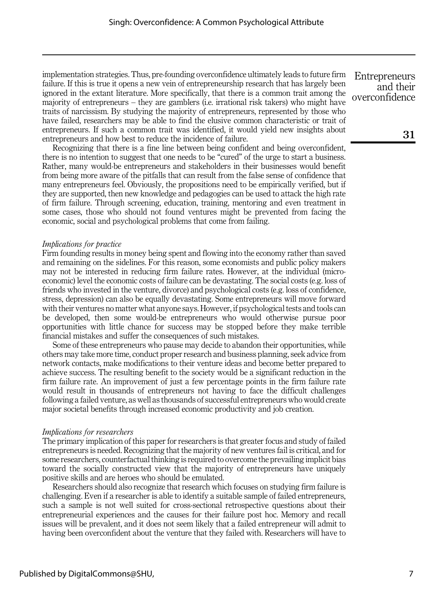implementation strategies. Thus, pre-founding overconfidence ultimately leads to future firm failure. If this is true it opens a new vein of entrepreneurship research that has largely been ignored in the extant literature. More specifically, that there is a common trait among the majority of entrepreneurs – they are gamblers (i.e. irrational risk takers) who might have traits of narcissism. By studying the majority of entrepreneurs, represented by those who have failed, researchers may be able to find the elusive common characteristic or trait of entrepreneurs. If such a common trait was identified, it would yield new insights about entrepreneurs and how best to reduce the incidence of failure.

Recognizing that there is a fine line between being confident and being overconfident, there is no intention to suggest that one needs to be "cured" of the urge to start a business. Rather, many would-be entrepreneurs and stakeholders in their businesses would benefit from being more aware of the pitfalls that can result from the false sense of confidence that many entrepreneurs feel. Obviously, the propositions need to be empirically verified, but if they are supported, then new knowledge and pedagogies can be used to attack the high rate of firm failure. Through screening, education, training, mentoring and even treatment in some cases, those who should not found ventures might be prevented from facing the economic, social and psychological problems that come from failing.

#### Implications for practice

Firm founding results in money being spent and flowing into the economy rather than saved and remaining on the sidelines. For this reason, some economists and public policy makers may not be interested in reducing firm failure rates. However, at the individual (microeconomic) level the economic costs of failure can be devastating. The social costs (e.g. loss of friends who invested in the venture, divorce) and psychological costs (e.g. loss of confidence, stress, depression) can also be equally devastating. Some entrepreneurs will move forward with their ventures no matter what anyone says. However, if psychological tests and tools can be developed, then some would-be entrepreneurs who would otherwise pursue poor opportunities with little chance for success may be stopped before they make terrible financial mistakes and suffer the consequences of such mistakes.

Some of these entrepreneurs who pause may decide to abandon their opportunities, while others may take more time, conduct proper research and business planning, seek advice from network contacts, make modifications to their venture ideas and become better prepared to achieve success. The resulting benefit to the society would be a significant reduction in the firm failure rate. An improvement of just a few percentage points in the firm failure rate would result in thousands of entrepreneurs not having to face the difficult challenges following a failed venture, as well as thousands of successful entrepreneurs who would create major societal benefits through increased economic productivity and job creation.

#### Implications for researchers

The primary implication of this paper for researchers is that greater focus and study of failed entrepreneurs is needed. Recognizing that the majority of new ventures fail is critical, and for some researchers, counterfactual thinking is required to overcome the prevailing implicit bias toward the socially constructed view that the majority of entrepreneurs have uniquely positive skills and are heroes who should be emulated.

Researchers should also recognize that research which focuses on studying firm failure is challenging. Even if a researcher is able to identify a suitable sample of failed entrepreneurs, such a sample is not well suited for cross-sectional retrospective questions about their entrepreneurial experiences and the causes for their failure post hoc. Memory and recall issues will be prevalent, and it does not seem likely that a failed entrepreneur will admit to having been overconfident about the venture that they failed with. Researchers will have to

**Entrepreneurs** and their overconfidence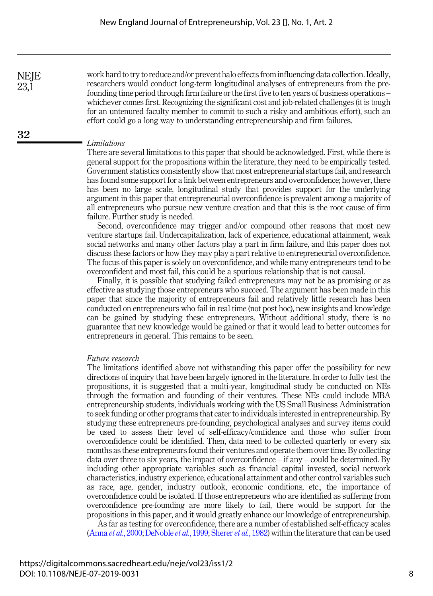work hard to try to reduce and/or prevent halo effects from influencing data collection. Ideally, researchers would conduct long-term longitudinal analyses of entrepreneurs from the prefounding time period through firm failure or the first five to ten years of business operations – whichever comes first. Recognizing the significant cost and job-related challenges (it is tough for an untenured faculty member to commit to such a risky and ambitious effort), such an effort could go a long way to understanding entrepreneurship and firm failures.

#### Limitations

There are several limitations to this paper that should be acknowledged. First, while there is general support for the propositions within the literature, they need to be empirically tested. Government statistics consistently show that most entrepreneurial startups fail, and research has found some support for a link between entrepreneurs and overconfidence; however, there has been no large scale, longitudinal study that provides support for the underlying argument in this paper that entrepreneurial overconfidence is prevalent among a majority of all entrepreneurs who pursue new venture creation and that this is the root cause of firm failure. Further study is needed.

Second, overconfidence may trigger and/or compound other reasons that most new venture startups fail. Undercapitalization, lack of experience, educational attainment, weak social networks and many other factors play a part in firm failure, and this paper does not discuss these factors or how they may play a part relative to entrepreneurial overconfidence. The focus of this paper is solely on overconfidence, and while many entrepreneurs tend to be overconfident and most fail, this could be a spurious relationship that is not causal.

Finally, it is possible that studying failed entrepreneurs may not be as promising or as effective as studying those entrepreneurs who succeed. The argument has been made in this paper that since the majority of entrepreneurs fail and relatively little research has been conducted on entrepreneurs who fail in real time (not post hoc), new insights and knowledge can be gained by studying these entrepreneurs. Without additional study, there is no guarantee that new knowledge would be gained or that it would lead to better outcomes for entrepreneurs in general. This remains to be seen.

#### Future research

The limitations identified above not withstanding this paper offer the possibility for new directions of inquiry that have been largely ignored in the literature. In order to fully test the propositions, it is suggested that a multi-year, longitudinal study be conducted on NEs through the formation and founding of their ventures. These NEs could include MBA entrepreneurship students, individuals working with the US Small Business Administration to seek funding or other programs that cater to individuals interested in entrepreneurship. By studying these entrepreneurs pre-founding, psychological analyses and survey items could be used to assess their level of self-efficacy/confidence and those who suffer from overconfidence could be identified. Then, data need to be collected quarterly or every six months as these entrepreneurs found their ventures and operate them over time. By collecting data over three to six years, the impact of overconfidence  $-$  if any  $-$  could be determined. By including other appropriate variables such as financial capital invested, social network characteristics, industry experience, educational attainment and other control variables such as race, age, gender, industry outlook, economic conditions, etc., the importance of overconfidence could be isolated. If those entrepreneurs who are identified as suffering from overconfidence pre-founding are more likely to fail, there would be support for the propositions in this paper, and it would greatly enhance our knowledge of entrepreneurship.

As far as testing for overconfidence, there are a number of established self-efficacy scales (Anna et al.[, 2000](#page-10-20); [DeNoble](#page-11-20) et al., 1999; [Sherer](#page-14-19) et al., 1982) within the literature that can be used

**NEIE** 23,1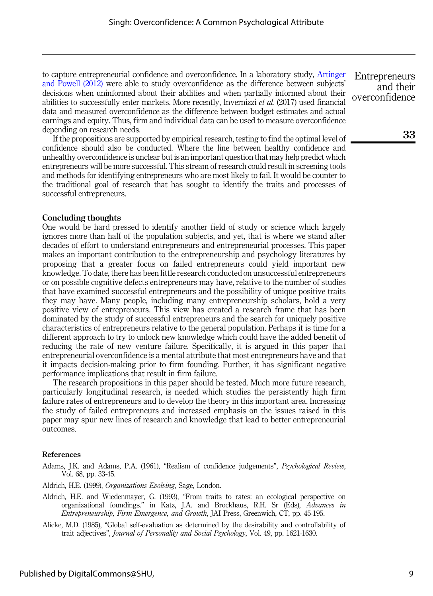to capture entrepreneurial confidence and overconfidence. In a laboratory study, [Artinger](#page-10-21) [and Powell \(2012\)](#page-10-21) were able to study overconfidence as the difference between subjects' decisions when uninformed about their abilities and when partially informed about their abilities to successfully enter markets. More recently, Invernizzi et al. (2017) used financial data and measured overconfidence as the difference between budget estimates and actual earnings and equity. Thus, firm and individual data can be used to measure overconfidence depending on research needs.

If the propositions are supported by empirical research, testing to find the optimal level of confidence should also be conducted. Where the line between healthy confidence and unhealthy overconfidence is unclear but is an important question that may help predict which entrepreneurs will be more successful. This stream of research could result in screening tools and methods for identifying entrepreneurs who are most likely to fail. It would be counter to the traditional goal of research that has sought to identify the traits and processes of successful entrepreneurs.

#### Concluding thoughts

One would be hard pressed to identify another field of study or science which largely ignores more than half of the population subjects, and yet, that is where we stand after decades of effort to understand entrepreneurs and entrepreneurial processes. This paper makes an important contribution to the entrepreneurship and psychology literatures by proposing that a greater focus on failed entrepreneurs could yield important new knowledge. To date, there has been little research conducted on unsuccessful entrepreneurs or on possible cognitive defects entrepreneurs may have, relative to the number of studies that have examined successful entrepreneurs and the possibility of unique positive traits they may have. Many people, including many entrepreneurship scholars, hold a very positive view of entrepreneurs. This view has created a research frame that has been dominated by the study of successful entrepreneurs and the search for uniquely positive characteristics of entrepreneurs relative to the general population. Perhaps it is time for a different approach to try to unlock new knowledge which could have the added benefit of reducing the rate of new venture failure. Specifically, it is argued in this paper that entrepreneurial overconfidence is a mental attribute that most entrepreneurs have and that it impacts decision-making prior to firm founding. Further, it has significant negative performance implications that result in firm failure.

The research propositions in this paper should be tested. Much more future research, particularly longitudinal research, is needed which studies the persistently high firm failure rates of entrepreneurs and to develop the theory in this important area. Increasing the study of failed entrepreneurs and increased emphasis on the issues raised in this paper may spur new lines of research and knowledge that lead to better entrepreneurial outcomes.

#### References

<span id="page-9-2"></span>Adams, J.K. and Adams, P.A. (1961), "Realism of confidence judgements", Psychological Review, Vol. 68, pp. 33-45.

<span id="page-9-1"></span><span id="page-9-0"></span>Aldrich, H.E. (1999), Organizations Evolving, Sage, London.

- Aldrich, H.E. and Wiedenmayer, G. (1993), "From traits to rates: an ecological perspective on organizational foundings." in Katz, J.A. and Brockhaus, R.H. Sr (Eds), Advances in Entrepreneurship, Firm Emergence, and Growth, JAI Press, Greenwich, CT, pp. 45-195.
- <span id="page-9-3"></span>Alicke, M.D. (1985), "Global self-evaluation as determined by the desirability and controllability of trait adjectives", Journal of Personality and Social Psychology, Vol. 49, pp. 1621-1630.

**Entrepreneurs** and their overconfidence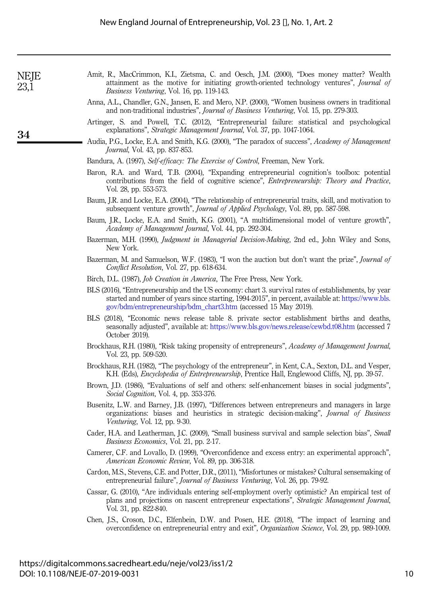| NEJE<br>23,1 |  |
|--------------|--|
|              |  |

- <span id="page-10-15"></span>Amit, R., MacCrimmon, K.I., Zietsma, C. and Oesch, J.M. (2000), "Does money matter? Wealth attainment as the motive for initiating growth-oriented technology ventures", Journal of Business Venturing, Vol. 16, pp. 119-143.
- <span id="page-10-20"></span>Anna, A.L., Chandler, G.N., Jansen, E. and Mero, N.P. (2000), "Women business owners in traditional and non-traditional industries", Journal of Business Venturing, Vol. 15, pp. 279-303.
- <span id="page-10-21"></span>Artinger, S. and Powell, T.C. (2012), "Entrepreneurial failure: statistical and psychological explanations", Strategic Management Journal, Vol. 37, pp. 1047-1064.
- <span id="page-10-18"></span>Audia, P.G., Locke, E.A. and Smith, K.G. (2000), "The paradox of success", Academy of Management Journal, Vol. 43, pp. 837-853.
- <span id="page-10-11"></span>Bandura, A. (1997), Self-efficacy: The Exercise of Control, Freeman, New York.
- <span id="page-10-5"></span>Baron, R.A. and Ward, T.B. (2004), "Expanding entrepreneurial cognition's toolbox: potential contributions from the field of cognitive science", Entrepreneurship: Theory and Practice, Vol. 28, pp. 553-573.
- <span id="page-10-3"></span>Baum, J.R. and Locke, E.A. (2004), "The relationship of entrepreneurial traits, skill, and motivation to subsequent venture growth", Journal of Applied Psychology, Vol. 89, pp. 587-598.
- <span id="page-10-10"></span>Baum, J.R., Locke, E.A. and Smith, K.G. (2001), "A multidimensional model of venture growth", Academy of Management Journal, Vol. 44, pp. 292-304.
- <span id="page-10-16"></span>Bazerman, M.H. (1990), *Judgment in Managerial Decision-Making*, 2nd ed., John Wiley and Sons, New York.
- <span id="page-10-17"></span>Bazerman, M. and Samuelson, W.F. (1983), "I won the auction but don't want the prize", *Journal of* Conflict Resolution, Vol. 27, pp. 618-634.
- <span id="page-10-0"></span>Birch, D.L. (1987), Job Creation in America, The Free Press, New York.
- <span id="page-10-8"></span>BLS (2016), "Entrepreneurship and the US economy: chart 3. survival rates of establishments, by year started and number of years since starting, 1994-2015", in percent, available at: [https://www.bls.](https://www.bls.gov/bdm/entrepreneurship/bdm_chart3.htm) [gov/bdm/entrepreneurship/bdm\\_chart3.htm](https://www.bls.gov/bdm/entrepreneurship/bdm_chart3.htm) (accessed 15 May 2019).
- <span id="page-10-7"></span>BLS (2018), "Economic news release table 8. private sector establishment births and deaths, seasonally adjusted", available at: <https://www.bls.gov/news.release/cewbd.t08.htm> (accessed 7 October 2019).
- <span id="page-10-1"></span>Brockhaus, R.H. (1980), "Risk taking propensity of entrepreneurs", Academy of Management Journal, Vol. 23, pp. 509-520.
- <span id="page-10-2"></span>Brockhaus, R.H. (1982), "The psychology of the entrepreneur", in Kent, C.A., Sexton, D.L. and Vesper, K.H. (Eds), *Encyclopedia of Entrepreneurship*, Prentice Hall, Englewood Cliffs, NJ, pp. 39-57.
- <span id="page-10-13"></span>Brown, J.D. (1986), "Evaluations of self and others: self-enhancement biases in social judgments", Social Cognition, Vol. 4, pp. 353-376.
- <span id="page-10-4"></span>Busenitz, L.W. and Barney, J.B. (1997), "Differences between entrepreneurs and managers in large organizations: biases and heuristics in strategic decision-making", Journal of Business Venturing, Vol. 12, pp. 9-30.
- <span id="page-10-6"></span>Cader, H.A. and Leatherman, J.C. (2009), "Small business survival and sample selection bias", Small Business Economics, Vol. 21, pp. 2-17.
- <span id="page-10-14"></span>Camerer, C.F. and Lovallo, D. (1999), "Overconfidence and excess entry: an experimental approach", American Economic Review, Vol. 89, pp. 306-318.
- <span id="page-10-19"></span>Cardon, M.S., Stevens, C.E. and Potter, D.R., (2011), "Misfortunes or mistakes? Cultural sensemaking of entrepreneurial failure", Journal of Business Venturing, Vol. 26, pp. 79-92.
- <span id="page-10-9"></span>Cassar, G. (2010), "Are individuals entering self-employment overly optimistic? An empirical test of plans and projections on nascent entrepreneur expectations", Strategic Management Journal, Vol. 31, pp. 822-840.
- <span id="page-10-12"></span>Chen, J.S., Croson, D.C., Elfenbein, D.W. and Posen, H.E. (2018), "The impact of learning and overconfidence on entrepreneurial entry and exit", Organization Science, Vol. 29, pp. 989-1009.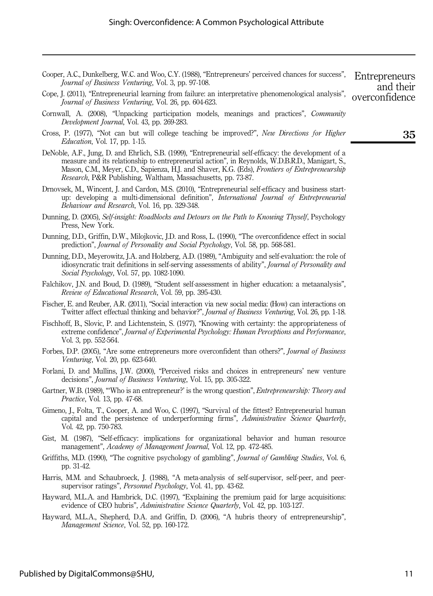- <span id="page-11-4"></span>Cooper, A.C., Dunkelberg, W.C. and Woo, C.Y. (1988), "Entrepreneurs' perceived chances for success", Journal of Business Venturing, Vol. 3, pp. 97-108. **Entrepreneurs**
- <span id="page-11-19"></span>Cope, J. (2011), "Entrepreneurial learning from failure: an interpretative phenomenological analysis", Journal of Business Venturing, Vol. 26, pp. 604-623. overconfidence
- <span id="page-11-0"></span>Cornwall, A. (2008), "Unpacking participation models, meanings and practices", Community Development Journal, Vol. 43, pp. 269-283.
- <span id="page-11-9"></span>Cross, P. (1977), "Not can but will college teaching be improved?", New Directions for Higher Education, Vol. 17, pp. 1-15.
- <span id="page-11-20"></span>DeNoble, A.F., Jung, D. and Ehrlich, S.B. (1999), "Entrepreneurial self-efficacy: the development of a measure and its relationship to entrepreneurial action", in Reynolds, W.D.B.R.D., Manigart, S., Mason, C.M., Meyer, C.D., Sapienza, H.J. and Shaver, K.G. (Eds), Frontiers of Entrepreneurship Research, P&R Publishing, Waltham, Massachusetts, pp. 73-87.
- <span id="page-11-5"></span>Drnovsek, M., Wincent, J. and Cardon, M.S. (2010), "Entrepreneurial self-efficacy and business startup: developing a multi-dimensional definition", International Journal of Entrepreneurial Behaviour and Research, Vol. 16, pp. 329-348.
- <span id="page-11-10"></span>Dunning, D. (2005), Self-insight: Roadblocks and Detours on the Path to Knowing Thyself, Psychology Press, New York.
- <span id="page-11-11"></span>Dunning, D.D., Griffin, D.W., Milojkovic, J.D. and Ross, L. (1990), "The overconfidence effect in social prediction", Journal of Personality and Social Psychology, Vol. 58, pp. 568-581.
- <span id="page-11-8"></span>Dunning, D.D., Meyerowitz, J.A. and Holzberg, A.D. (1989), "Ambiguity and self-evaluation: the role of idiosyncratic trait definitions in self-serving assessments of ability", Journal of Personality and Social Psychology, Vol. 57, pp. 1082-1090.
- <span id="page-11-12"></span>Falchikov, J.N. and Boud, D. (1989), "Student self-assessment in higher education: a metaanalysis", Review of Educational Research, Vol. 59, pp. 395-430.
- <span id="page-11-2"></span>Fischer, E. and Reuber, A.R. (2011), "Social interaction via new social media: (How) can interactions on Twitter affect effectual thinking and behavior?", Journal of Business Venturing, Vol. 26, pp. 1-18.
- <span id="page-11-7"></span>Fischhoff, B., Slovic, P. and Lichtenstein, S. (1977), "Knowing with certainty: the appropriateness of extreme confidence", Journal of Experimental Psychology: Human Perceptions and Performance, Vol. 3, pp. 552-564.
- <span id="page-11-14"></span>Forbes, D.P. (2005), "Are some entrepreneurs more overconfident than others?", Journal of Business Venturing, Vol. 20, pp. 623-640.
- <span id="page-11-17"></span>Forlani, D. and Mullins, J.W. (2000), "Perceived risks and choices in entrepreneurs' new venture decisions", Journal of Business Venturing, Vol. 15, pp. 305-322.
- <span id="page-11-1"></span>Gartner, W.B. (1989), "'Who is an entrepreneur?' is the wrong question", *Entrepreneurship: Theory and* Practice, Vol. 13, pp. 47-68.
- <span id="page-11-3"></span>Gimeno, J., Folta, T., Cooper, A. and Woo, C. (1997), "Survival of the fittest? Entrepreneurial human capital and the persistence of underperforming firms", Administrative Science Quarterly, Vol. 42, pp. 750-783.
- <span id="page-11-6"></span>Gist, M. (1987), "Self-efficacy: implications for organizational behavior and human resource management", Academy of Management Journal, Vol. 12, pp. 472-485.
- <span id="page-11-15"></span>Griffiths, M.D. (1990), "The cognitive psychology of gambling", *Journal of Gambling Studies*, Vol. 6, pp. 31-42.
- <span id="page-11-13"></span>Harris, M.M. and Schaubroeck, J. (1988), "A meta-analysis of self-supervisor, self-peer, and peersupervisor ratings", Personnel Psychology, Vol. 41, pp. 43-62.
- <span id="page-11-18"></span>Hayward, M.L.A. and Hambrick, D.C. (1997), "Explaining the premium paid for large acquisitions: evidence of CEO hubris", Administrative Science Quarterly, Vol. 42, pp. 103-127.
- <span id="page-11-16"></span>Hayward, M.L.A., Shepherd, D.A. and Griffin, D. (2006), "A hubris theory of entrepreneurship", Management Science, Vol. 52, pp. 160-172.

35

and their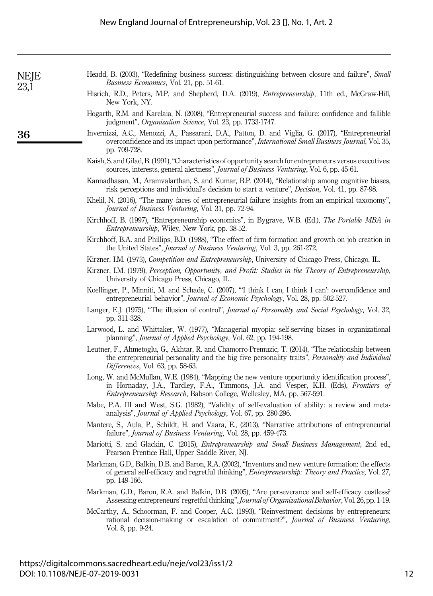<span id="page-12-21"></span><span id="page-12-20"></span><span id="page-12-19"></span><span id="page-12-18"></span><span id="page-12-17"></span><span id="page-12-16"></span><span id="page-12-15"></span><span id="page-12-14"></span><span id="page-12-13"></span><span id="page-12-12"></span><span id="page-12-11"></span><span id="page-12-10"></span><span id="page-12-9"></span><span id="page-12-8"></span><span id="page-12-7"></span><span id="page-12-6"></span><span id="page-12-5"></span><span id="page-12-4"></span><span id="page-12-3"></span><span id="page-12-2"></span><span id="page-12-1"></span><span id="page-12-0"></span>

| NEJE<br>23,1 | Headd, B. (2003), "Redefining business success: distinguishing between closure and failure", Small<br>Business Economics, Vol. 21, pp. 51-61.                                                                                                                       |
|--------------|---------------------------------------------------------------------------------------------------------------------------------------------------------------------------------------------------------------------------------------------------------------------|
|              | Hisrich, R.D., Peters, M.P. and Shepherd, D.A. (2019), <i>Entrepreneurship</i> , 11th ed., McGraw-Hill,<br>New York, NY.                                                                                                                                            |
|              | Hogarth, R.M. and Karelaia, N. (2008), "Entrepreneurial success and failure: confidence and fallible<br>judgment", Organization Science, Vol. 23, pp. 1733-1747.                                                                                                    |
| 36           | Invernizzi, A.C., Menozzi, A., Passarani, D.A., Patton, D. and Viglia, G. (2017), "Entrepreneurial<br>overconfidence and its impact upon performance", International Small Business Journal, Vol. 35,<br>pp. 709-728.                                               |
|              | Kaish, S. and Gilad, B. (1991), "Characteristics of opportunity search for entrepreneurs versus executives:<br>sources, interests, general alertness", <i>Journal of Business Venturing</i> , Vol. 6, pp. 45-61.                                                    |
|              | Kannadhasan, M., Aramvalarthan, S. and Kumar, B.P. (2014), "Relationship among cognitive biases,<br>risk perceptions and individual's decision to start a venture", <i>Decision</i> , Vol. 41, pp. 87-98.                                                           |
|              | Khelil, N. (2016), "The many faces of entrepreneurial failure: insights from an empirical taxonomy",<br>Journal of Business Venturing, Vol. 31, pp. 72-94.                                                                                                          |
|              | Kirchhoff, B. (1997), "Entrepreneurship economics", in Bygrave, W.B. (Ed.), The Portable MBA in<br><i>Entrepreneurship</i> , Wiley, New York, pp. 38-52.                                                                                                            |
|              | Kirchhoff, B.A. and Phillips, B.D. (1988), "The effect of firm formation and growth on job creation in<br>the United States", Journal of Business Venturing, Vol. 3, pp. 261-272.                                                                                   |
|              | Kirzner, I.M. (1973), Competition and Entrepreneurship, University of Chicago Press, Chicago, IL.                                                                                                                                                                   |
|              | Kirzner, I.M. (1979), Perception, Opportunity, and Profit: Studies in the Theory of Entrepreneurship,<br>University of Chicago Press, Chicago, IL.                                                                                                                  |
|              | Koellinger, P., Minniti, M. and Schade, C. (2007), "I think I can, I think I can': overconfidence and<br>entrepreneurial behavior", Journal of Economic Psychology, Vol. 28, pp. 502-527.                                                                           |
|              | Langer, E.J. (1975), "The illusion of control", <i>Journal of Personality and Social Psychology</i> , Vol. 32,<br>pp. 311-328.                                                                                                                                      |
|              | Larwood, L. and Whittaker, W. (1977), "Managerial myopia: self-serving biases in organizational<br>planning", Journal of Applied Psychology, Vol. 62, pp. 194-198.                                                                                                  |
|              | Leutner, F., Ahmetoglu, G., Akhtar, R. and Chamorro-Premuzic, T. (2014), "The relationship between<br>the entrepreneurial personality and the big five personality traits", Personality and Individual<br>Differences, Vol. 63, pp. 58-63.                          |
|              | Long, W. and McMullan, W.E. (1984), "Mapping the new venture opportunity identification process",<br>in Hornaday, J.A., Tardley, F.A., Timmons, J.A. and Vesper, K.H. (Eds), Frontiers of<br>Entrepreneurship Research, Babson College, Wellesley, MA, pp. 567-591. |
|              | Mabe, P.A. III and West, S.G. (1982), "Validity of self-evaluation of ability: a review and meta-<br>analysis", Journal of Applied Psychology, Vol. 67, pp. 280-296.                                                                                                |
|              | Mantere, S., Aula, P., Schildt, H. and Vaara, E., (2013), "Narrative attributions of entrepreneurial<br>failure", Journal of Business Venturing, Vol. 28, pp. 459-473.                                                                                              |
|              | Mariotti, S. and Glackin, C. (2015), <i>Entrepreneurship and Small Business Management</i> , 2nd ed.,<br>Pearson Prentice Hall, Upper Saddle River, NJ.                                                                                                             |
|              | Markman, G.D., Balkin, D.B. and Baron, R.A. (2002), "Inventors and new venture formation: the effects<br>of general self-efficacy and regretful thinking", <i>Entrepreneurship: Theory and Practice</i> , Vol. 27,<br>pp. 149-166.                                  |
|              | Markman, G.D., Baron, R.A. and Balkin, D.B. (2005), "Are perseverance and self-efficacy costless?<br>Assessing entrepreneurs' regretful thinking", Journal of Organizational Behavior, Vol. 26, pp. 1-19.                                                           |
|              | McCarthy, A., Schoorman, F. and Cooper, A.C. (1993), "Reinvestment decisions by entrepreneurs:<br>rational decision-making or escalation of commitment?", Journal of Business Venturing,<br>Vol. 8, pp. 9-24.                                                       |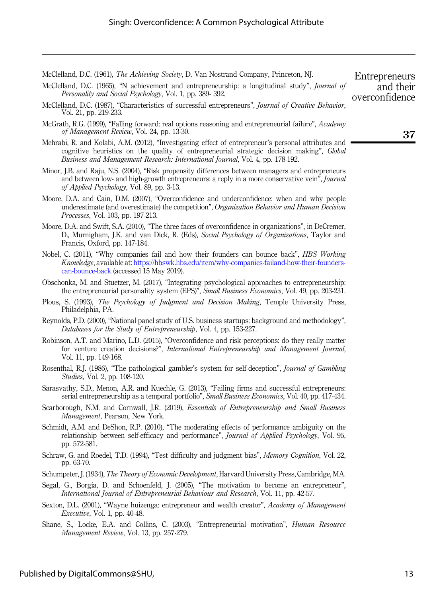<span id="page-13-1"></span>McClelland, D.C. (1961), *The Achieving Society*, D. Van Nostrand Company, Princeton, NJ.

- <span id="page-13-2"></span>McClelland, D.C. (1965), "N achievement and entrepreneurship: a longitudinal study", *Journal of* Personality and Social Psychology, Vol. 1, pp. 389- 392.
- <span id="page-13-3"></span>McClelland, D.C. (1987), "Characteristics of successful entrepreneurs", Journal of Creative Behavior, Vol. 21, pp. 219-233.
- <span id="page-13-5"></span>McGrath, R.G. (1999), "Falling forward: real options reasoning and entrepreneurial failure", Academy of Management Review, Vol. 24, pp. 13-30.
- <span id="page-13-21"></span>Mehrabi, R. and Kolabi, A.M. (2012), "Investigating effect of entrepreneur's personal attributes and cognitive heuristics on the quality of entrepreneurial strategic decision making", Global Business and Management Research: International Journal, Vol. 4, pp. 178-192.
- <span id="page-13-6"></span>Minor, J.B. and Raju, N.S. (2004), "Risk propensity differences between managers and entrepreneurs and between low- and high-growth entrepreneurs: a reply in a more conservative vein", *Journal* of Applied Psychology, Vol. 89, pp. 3-13.
- <span id="page-13-14"></span>Moore, D.A. and Cain, D.M. (2007), "Overconfidence and underconfidence: when and why people underestimate (and overestimate) the competition", Organization Behavior and Human Decision Processes, Vol. 103, pp. 197-213.
- <span id="page-13-17"></span>Moore, D.A. and Swift, S.A. (2010), "The three faces of overconfidence in organizations", in DeCremer, D., Murnigham, J.K. and van Dick, R. (Eds), Social Psychology of Organizations, Taylor and Francis, Oxford, pp. 147-184.
- <span id="page-13-10"></span>Nobel, C. (2011), "Why companies fail and how their founders can bounce back", HBS Working Knowledge, available at: [https://hbswk.hbs.edu/item/why-companies-failand-how-their-founders](https://hbswk.hbs.edu/item/why-companies-failand-how-their-founders-can-bounce-back)[can-bounce-back](https://hbswk.hbs.edu/item/why-companies-failand-how-their-founders-can-bounce-back) (accessed 15 May 2019).
- <span id="page-13-7"></span>Obschonka, M. and Stuetzer, M. (2017), "Integrating psychological approaches to entrepreneurship: the entrepreneurial personality system (EPS)", Small Business Economics, Vol. 49, pp. 203-231.
- <span id="page-13-15"></span>Plous, S. (1993), The Psychology of Judgment and Decision Making, Temple University Press, Philadelphia, PA.
- <span id="page-13-20"></span>Reynolds, P.D. (2000), "National panel study of U.S. business startups: background and methodology", Databases for the Study of Entrepreneurship, Vol. 4, pp. 153-227.
- <span id="page-13-18"></span>Robinson, A.T. and Marino, L.D. (2015), "Overconfidence and risk perceptions: do they really matter for venture creation decisions?", International Entrepreneurship and Management Journal, Vol. 11, pp. 149-168.
- <span id="page-13-19"></span>Rosenthal, R.J. (1986), "The pathological gambler's system for self-deception", *Journal of Gambling* Studies, Vol. 2, pp. 108-120.
- <span id="page-13-9"></span>Sarasvathy, S.D., Menon, A.R. and Kuechle, G. (2013), "Failing firms and successful entrepreneurs: serial entrepreneurship as a temporal portfolio", *Small Business Economics*, Vol. 40, pp. 417-434.
- <span id="page-13-8"></span>Scarborough, N.M. and Cornwall, J.R. (2019), *Essentials of Entrepreneurship and Small Business* Management, Pearson, New York.
- <span id="page-13-13"></span>Schmidt, A.M. and DeShon, R.P. (2010), "The moderating effects of performance ambiguity on the relationship between self-efficacy and performance", Journal of Applied Psychology, Vol. 95, pp. 572-581.
- <span id="page-13-16"></span>Schraw, G. and Roedel, T.D. (1994), "Test difficulty and judgment bias", Memory Cognition, Vol. 22, pp. 63-70.
- <span id="page-13-0"></span>Schumpeter, J. (1934), *The Theory of Economic Development*, Harvard University Press, Cambridge, MA.
- <span id="page-13-11"></span>Segal, G., Borgia, D. and Schoenfeld, J. (2005), "The motivation to become an entrepreneur", International Journal of Entrepreneurial Behaviour and Research, Vol. 11, pp. 42-57.
- <span id="page-13-4"></span>Sexton, D.L. (2001), "Wayne huizenga: entrepreneur and wealth creator", Academy of Management Executive, Vol. 1, pp. 40-48.
- <span id="page-13-12"></span>Shane, S., Locke, E.A. and Collins, C. (2003), "Entrepreneurial motivation", *Human Resource* Management Review, Vol. 13, pp. 257-279.

Entrepreneurs and their overconfidence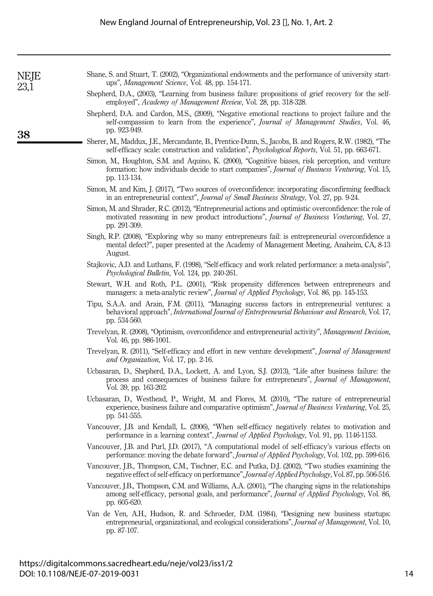| NEJE |  |
|------|--|
|      |  |
| 23   |  |
|      |  |

 $23<sup>1</sup>$ 

38

- <span id="page-14-15"></span>Shane, S. and Stuart, T. (2002), "Organizational endowments and the performance of university startups", Management Science, Vol. 48, pp. 154-171.
- <span id="page-14-17"></span>Shepherd, D.A., (2003), "Learning from business failure: propositions of grief recovery for the selfemployed", Academy of Management Review, Vol. 28, pp. 318-328.
- <span id="page-14-16"></span>Shepherd, D.A. and Cardon, M.S., (2009), "Negative emotional reactions to project failure and the self-compassion to learn from the experience", Journal of Management Studies, Vol. 46, pp. 923-949.
- <span id="page-14-19"></span>Sherer, M., Maddux, J.E., Mercandante, B., Prentice-Dunn, S., Jacobs, B. and Rogers, R.W. (1982), "The self-efficacy scale: construction and validation", *Psychological Reports*, Vol. 51, pp. 663-671.
- <span id="page-14-10"></span>Simon, M., Houghton, S.M. and Aquino, K. (2000), "Cognitive biases, risk perception, and venture formation: how individuals decide to start companies", Journal of Business Venturing, Vol. 15, pp. 113-134.
- <span id="page-14-13"></span>Simon, M. and Kim, J. (2017), "Two sources of overconfidence: incorporating disconfirming feedback in an entrepreneurial context", Journal of Small Business Strategy, Vol. 27, pp. 9-24.
- <span id="page-14-14"></span>Simon, M. and Shrader, R.C. (2012), "Entrepreneurial actions and optimistic overconfidence: the role of motivated reasoning in new product introductions", Journal of Business Venturing, Vol. 27, pp. 291-309.
- <span id="page-14-2"></span>Singh, R.P. (2008), "Exploring why so many entrepreneurs fail: is entrepreneurial overconfidence a mental defect?", paper presented at the Academy of Management Meeting, Anaheim, CA, 8-13 August.
- <span id="page-14-3"></span>Stajkovic, A.D. and Luthans, F. (1998), "Self-efficacy and work related performance: a meta-analysis", Psychological Bulletin, Vol. 124, pp. 240-261.
- <span id="page-14-1"></span>Stewart, W.H. and Roth, P.L. (2001), "Risk propensity differences between entrepreneurs and managers: a meta-analytic review", *Journal of Applied Psychology*, Vol. 86, pp. 145-153.
- <span id="page-14-12"></span>Tipu, S.A.A. and Arain, F.M. (2011), "Managing success factors in entrepreneurial ventures: a behavioral approach", International Journal of Entrepreneurial Behaviour and Research, Vol. 17, pp. 534-560.
- <span id="page-14-8"></span>Trevelyan, R. (2008), "Optimism, overconfidence and entrepreneurial activity", Management Decision, Vol. 46, pp. 986-1001.
- <span id="page-14-9"></span>Trevelyan, R. (2011), "Self-efficacy and effort in new venture development", Journal of Management and Organization, Vol. 17, pp. 2-16.
- <span id="page-14-18"></span>Ucbasaran, D., Shepherd, D.A., Lockett, A. and Lyon, S.J. (2013), "Life after business failure: the process and consequences of business failure for entrepreneurs", Journal of Management, Vol. 39, pp. 163-202.
- <span id="page-14-11"></span>Ucbasaran, D., Westhead, P., Wright, M. and Flores, M. (2010), "The nature of entrepreneurial experience, business failure and comparative optimism", *Journal of Business Venturing*, Vol. 25, pp. 541-555.
- <span id="page-14-5"></span>Vancouver, J.B. and Kendall, L. (2006), "When self-efficacy negatively relates to motivation and performance in a learning context", Journal of Applied Psychology, Vol. 91, pp. 1146-1153.
- <span id="page-14-4"></span>Vancouver, J.B. and Purl, J.D. (2017), "A computational model of self-efficacy's various effects on performance: moving the debate forward", Journal of Applied Psychology, Vol. 102, pp. 599-616.
- <span id="page-14-7"></span>Vancouver, J.B., Thompson, C.M., Tischner, E.C. and Putka, D.J. (2002), "Two studies examining the negative effect of self-efficacy on performance", Journal of Applied Psychology, Vol. 87, pp. 506-516.
- <span id="page-14-6"></span>Vancouver, J.B., Thompson, C.M. and Williams, A.A. (2001), "The changing signs in the relationships among self-efficacy, personal goals, and performance", Journal of Applied Psychology, Vol. 86, pp. 605-620.
- <span id="page-14-0"></span>Van de Ven, A.H., Hudson, R. and Schroeder, D.M. (1984), "Designing new business startups: entrepreneurial, organizational, and ecological considerations", *Journal of Management*, Vol. 10, pp. 87-107.